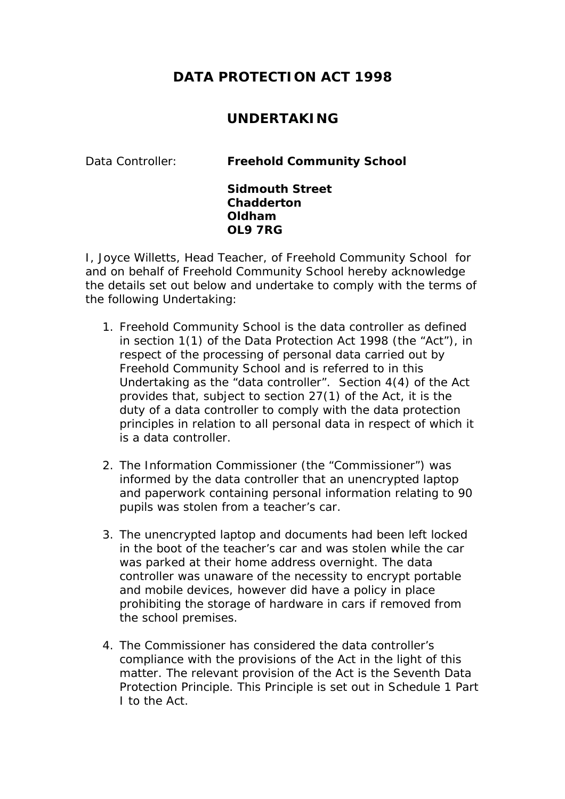## **DATA PROTECTION ACT 1998**

## **UNDERTAKING**

Data Controller: **Freehold Community School** 

**Sidmouth Street Chadderton Oldham OL9 7RG**

I, Joyce Willetts, Head Teacher, of Freehold Community School for and on behalf of Freehold Community School hereby acknowledge the details set out below and undertake to comply with the terms of the following Undertaking:

- 1. Freehold Community School is the data controller as defined in section 1(1) of the Data Protection Act 1998 (the "Act"), in respect of the processing of personal data carried out by Freehold Community School and is referred to in this Undertaking as the "data controller". Section 4(4) of the Act provides that, subject to section 27(1) of the Act, it is the duty of a data controller to comply with the data protection principles in relation to all personal data in respect of which it is a data controller.
- 2. The Information Commissioner (the "Commissioner") was informed by the data controller that an unencrypted laptop and paperwork containing personal information relating to 90 pupils was stolen from a teacher's car.
- 3. The unencrypted laptop and documents had been left locked in the boot of the teacher's car and was stolen while the car was parked at their home address overnight. The data controller was unaware of the necessity to encrypt portable and mobile devices, however did have a policy in place prohibiting the storage of hardware in cars if removed from the school premises.
- 4. The Commissioner has considered the data controller's compliance with the provisions of the Act in the light of this matter. The relevant provision of the Act is the Seventh Data Protection Principle. This Principle is set out in Schedule 1 Part I to the Act.